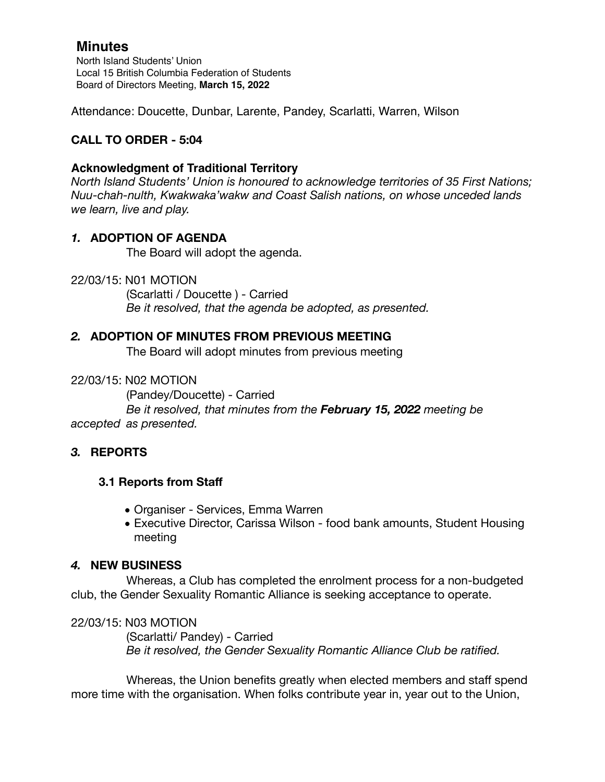North Island Students' Union Local 15 British Columbia Federation of Students Board of Directors Meeting, **March 15, 2022**

Attendance: Doucette, Dunbar, Larente, Pandey, Scarlatti, Warren, Wilson

# **CALL TO ORDER - 5:04**

### **Acknowledgment of Traditional Territory**

*North Island Students' Union is honoured to acknowledge territories of 35 First Nations; Nuu-chah-nulth, Kwakwaka'wakw and Coast Salish nations, on whose unceded lands we learn, live and play.*

## *1.* **ADOPTION OF AGENDA**

The Board will adopt the agenda.

22/03/15: N01 MOTION

 (Scarlatti / Doucette ) - Carried *Be it resolved, that the agenda be adopted, as presented.* 

### *2.* **ADOPTION OF MINUTES FROM PREVIOUS MEETING**

The Board will adopt minutes from previous meeting

#### 22/03/15: N02 MOTION

(Pandey/Doucette) - Carried

 *Be it resolved, that minutes from the February 15, 2022 meeting be accepted as presented.* 

## *3.* **REPORTS**

#### **3.1 Reports from Staff**

- *•* Organiser Services, Emma Warren
- *•* Executive Director, Carissa Wilson food bank amounts, Student Housing meeting

#### *4.* **NEW BUSINESS**

Whereas, a Club has completed the enrolment process for a non-budgeted club, the Gender Sexuality Romantic Alliance is seeking acceptance to operate.

#### 22/03/15: N03 MOTION

 (Scarlatti/ Pandey) - Carried *Be it resolved, the Gender Sexuality Romantic Alliance Club be ratified.* 

Whereas, the Union benefits greatly when elected members and staff spend more time with the organisation. When folks contribute year in, year out to the Union,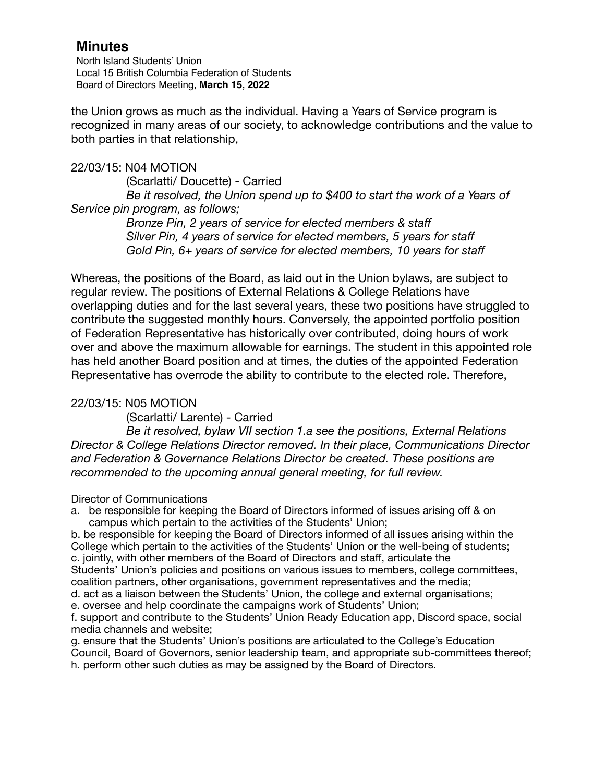North Island Students' Union Local 15 British Columbia Federation of Students Board of Directors Meeting, **March 15, 2022**

the Union grows as much as the individual. Having a Years of Service program is recognized in many areas of our society, to acknowledge contributions and the value to both parties in that relationship,

#### 22/03/15: N04 MOTION

 (Scarlatti/ Doucette) - Carried *Be it resolved, the Union spend up to \$400 to start the work of a Years of Service pin program, as follows;* 

> *Bronze Pin, 2 years of service for elected members & staff Silver Pin, 4 years of service for elected members, 5 years for staff Gold Pin, 6+ years of service for elected members, 10 years for staff*

Whereas, the positions of the Board, as laid out in the Union bylaws, are subject to regular review. The positions of External Relations & College Relations have overlapping duties and for the last several years, these two positions have struggled to contribute the suggested monthly hours. Conversely, the appointed portfolio position of Federation Representative has historically over contributed, doing hours of work over and above the maximum allowable for earnings. The student in this appointed role has held another Board position and at times, the duties of the appointed Federation Representative has overrode the ability to contribute to the elected role. Therefore,

#### 22/03/15: N05 MOTION

 (Scarlatti/ Larente) - Carried

 *Be it resolved, bylaw VII section 1.a see the positions, External Relations Director & College Relations Director removed. In their place, Communications Director and Federation & Governance Relations Director be created. These positions are recommended to the upcoming annual general meeting, for full review.* 

#### Director of Communications

a. be responsible for keeping the Board of Directors informed of issues arising off & on campus which pertain to the activities of the Students' Union;

b. be responsible for keeping the Board of Directors informed of all issues arising within the College which pertain to the activities of the Students' Union or the well-being of students; c. jointly, with other members of the Board of Directors and staff, articulate the Students' Union's policies and positions on various issues to members, college committees, coalition partners, other organisations, government representatives and the media;

d. act as a liaison between the Students' Union, the college and external organisations;

e. oversee and help coordinate the campaigns work of Students' Union;

f. support and contribute to the Students' Union Ready Education app, Discord space, social media channels and website;

g. ensure that the Students' Union's positions are articulated to the College's Education Council, Board of Governors, senior leadership team, and appropriate sub-committees thereof; h. perform other such duties as may be assigned by the Board of Directors.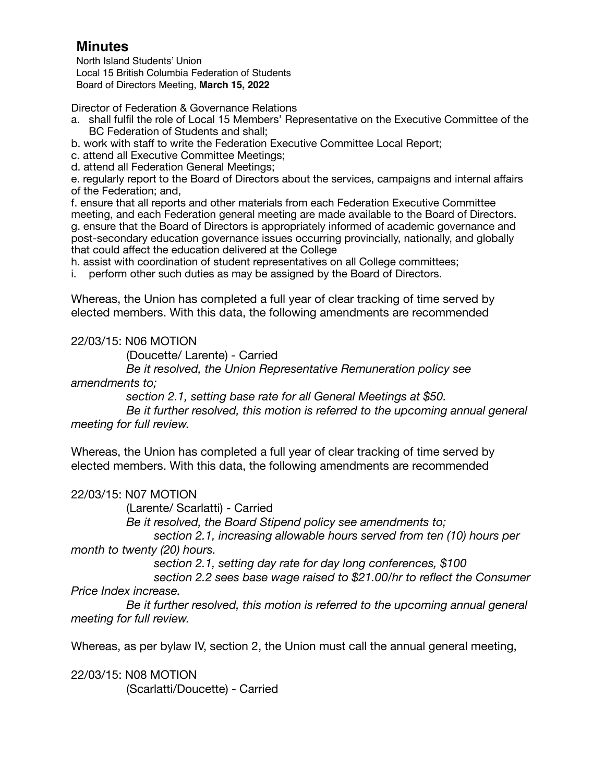North Island Students' Union Local 15 British Columbia Federation of Students Board of Directors Meeting, **March 15, 2022**

Director of Federation & Governance Relations

- a. shall fulfil the role of Local 15 Members' Representative on the Executive Committee of the BC Federation of Students and shall;
- b. work with staff to write the Federation Executive Committee Local Report;
- c. attend all Executive Committee Meetings;
- d. attend all Federation General Meetings;

e. regularly report to the Board of Directors about the services, campaigns and internal affairs of the Federation; and,

f. ensure that all reports and other materials from each Federation Executive Committee meeting, and each Federation general meeting are made available to the Board of Directors. g. ensure that the Board of Directors is appropriately informed of academic governance and post-secondary education governance issues occurring provincially, nationally, and globally that could affect the education delivered at the College

h. assist with coordination of student representatives on all College committees;

i. perform other such duties as may be assigned by the Board of Directors.

Whereas, the Union has completed a full year of clear tracking of time served by elected members. With this data, the following amendments are recommended

### 22/03/15: N06 MOTION

 (Doucette/ Larente) - Carried

 *Be it resolved, the Union Representative Remuneration policy see* 

#### *amendments to;*

 *section 2.1, setting base rate for all General Meetings at \$50.*  Be it further resolved, this motion is referred to the upcoming annual general *meeting for full review.* 

Whereas, the Union has completed a full year of clear tracking of time served by elected members. With this data, the following amendments are recommended

#### 22/03/15: N07 MOTION

 (Larente/ Scarlatti) - Carried

 *Be it resolved, the Board Stipend policy see amendments to;* 

section 2.1, increasing allowable hours served from ten (10) hours per *month to twenty (20) hours.* 

 *section 2.1, setting day rate for day long conferences, \$100* 

section 2.2 sees base wage raised to \$21.00/hr to reflect the Consumer *Price Index increase.* 

*Be it further resolved, this motion is referred to the upcoming annual general meeting for full review.* 

Whereas, as per bylaw IV, section 2, the Union must call the annual general meeting,

22/03/15: N08 MOTION (Scarlatti/Doucette) - Carried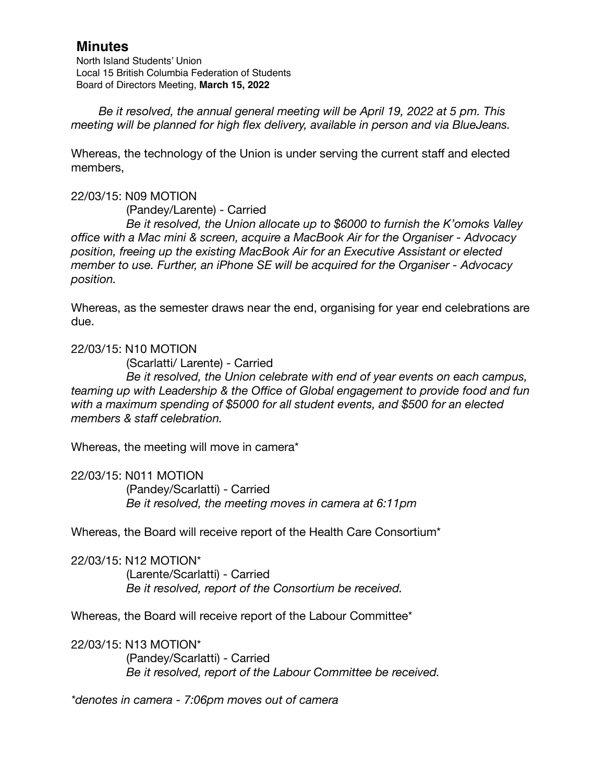North Island Students' Union Local 15 British Columbia Federation of Students Board of Directors Meeting, **March 15, 2022**

*Be it resolved, the annual general meeting will be April 19, 2022 at 5 pm. This meeting will be planned for high flex delivery, available in person and via BlueJeans.* 

Whereas, the technology of the Union is under serving the current staff and elected members,

#### 22/03/15: N09 MOTION

 (Pandey/Larente) - Carried

 *Be it resolved, the Union allocate up to \$6000 to furnish the K'omoks Valley office with a Mac mini & screen, acquire a MacBook Air for the Organiser - Advocacy position, freeing up the existing MacBook Air for an Executive Assistant or elected member to use. Further, an iPhone SE will be acquired for the Organiser - Advocacy position.* 

Whereas, as the semester draws near the end, organising for year end celebrations are due.

22/03/15: N10 MOTION

 (Scarlatti/ Larente) - Carried

 *Be it resolved, the Union celebrate with end of year events on each campus, teaming up with Leadership & the Office of Global engagement to provide food and fun with a maximum spending of \$5000 for all student events, and \$500 for an elected members & staff celebration.* 

Whereas, the meeting will move in camera\*

22/03/15: N011 MOTION (Pandey/Scarlatti) - Carried *Be it resolved, the meeting moves in camera at 6:11pm* 

Whereas, the Board will receive report of the Health Care Consortium\*

22/03/15: N12 MOTION\* (Larente/Scarlatti) - Carried *Be it resolved, report of the Consortium be received.* 

Whereas, the Board will receive report of the Labour Committee\*

22/03/15: N13 MOTION\* (Pandey/Scarlatti) - Carried *Be it resolved, report of the Labour Committee be received.* 

*\*denotes in camera - 7:06pm moves out of camera*